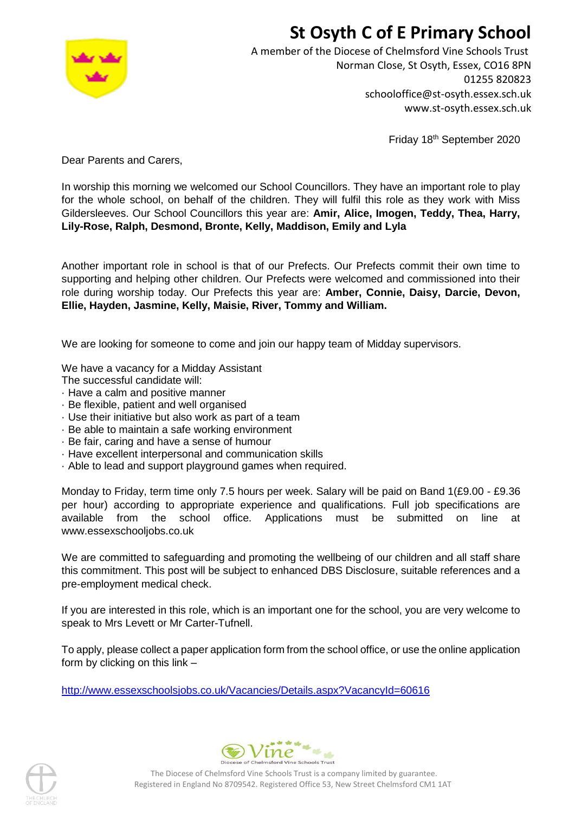## **St Osyth C of E Primary School**



A member of the Diocese of Chelmsford Vine Schools Trust Norman Close, St Osyth, Essex, CO16 8PN 01255 820823 schooloffice@st-osyth.essex.sch.uk www.st-osyth.essex.sch.uk

Friday 18<sup>th</sup> September 2020

Dear Parents and Carers,

In worship this morning we welcomed our School Councillors. They have an important role to play for the whole school, on behalf of the children. They will fulfil this role as they work with Miss Gildersleeves. Our School Councillors this year are: **Amir, Alice, Imogen, Teddy, Thea, Harry, Lily-Rose, Ralph, Desmond, Bronte, Kelly, Maddison, Emily and Lyla**

Another important role in school is that of our Prefects. Our Prefects commit their own time to supporting and helping other children. Our Prefects were welcomed and commissioned into their role during worship today. Our Prefects this year are: **Amber, Connie, Daisy, Darcie, Devon, Ellie, Hayden, Jasmine, Kelly, Maisie, River, Tommy and William.**

We are looking for someone to come and join our happy team of Midday supervisors.

We have a vacancy for a Midday Assistant

The successful candidate will:

- · Have a calm and positive manner
- · Be flexible, patient and well organised
- · Use their initiative but also work as part of a team
- · Be able to maintain a safe working environment
- · Be fair, caring and have a sense of humour
- · Have excellent interpersonal and communication skills
- · Able to lead and support playground games when required.

Monday to Friday, term time only 7.5 hours per week. Salary will be paid on Band  $1(E9.00 - E9.36)$ per hour) according to appropriate experience and qualifications. Full job specifications are available from the school office. Applications must be submitted on line at www.essexschooljobs.co.uk

We are committed to safeguarding and promoting the wellbeing of our children and all staff share this commitment. This post will be subject to enhanced DBS Disclosure, suitable references and a pre-employment medical check.

If you are interested in this role, which is an important one for the school, you are very welcome to speak to Mrs Levett or Mr Carter-Tufnell.

To apply, please collect a paper application form from the school office, or use the online application form by clicking on this link –

<http://www.essexschoolsjobs.co.uk/Vacancies/Details.aspx?VacancyId=60616>





The Diocese of Chelmsford Vine Schools Trust is a company limited by guarantee. Registered in England No 8709542. Registered Office 53, New Street Chelmsford CM1 1AT